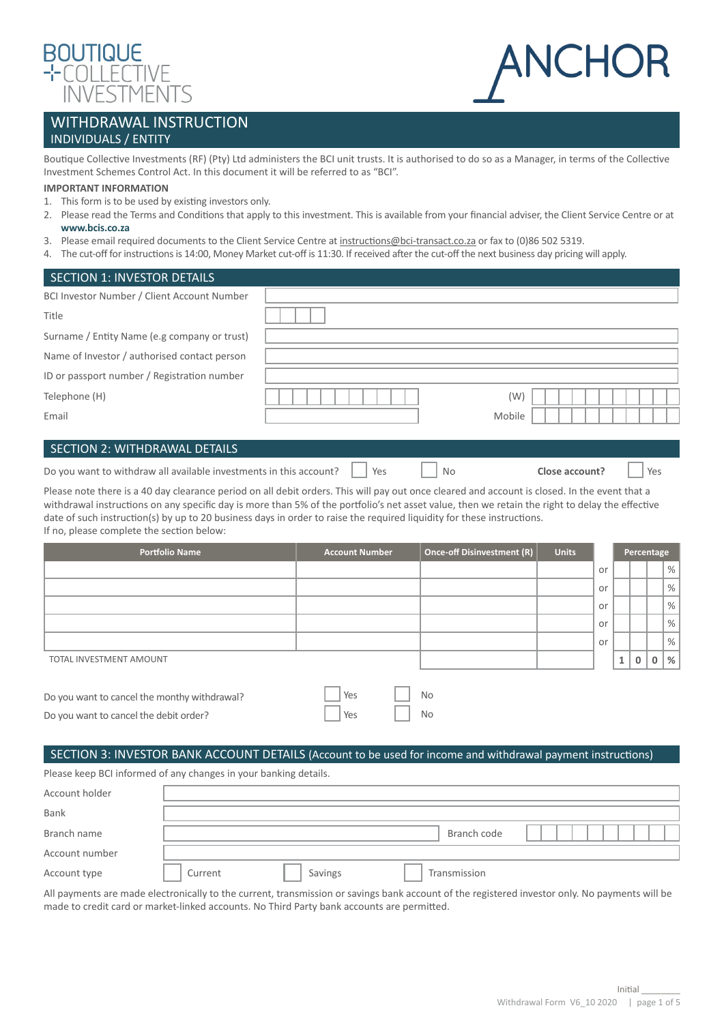



# WITHDRAWAL INSTRUCTION INDIVIDUALS / ENTITY

Boutique Collective Investments (RF) (Pty) Ltd administers the BCI unit trusts. It is authorised to do so as a Manager, in terms of the Collective Investment Schemes Control Act. In this document it will be referred to as "BCI".

#### **IMPORTANT INFORMATION**

- 1. This form is to be used by existing investors only.
- 2. Please read the Terms and Conditions that apply to this investment. This is available from your financial adviser, the Client Service Centre or at **[www.bcis.co.za](http://www.bcis.co.za)**
- 3. Please email required documents to the Client Service Centre at [instructions@bci-transact.co.za](mailto:instructions%40bci-transact.co.za?subject=) or fax to (0)86 502 5319.
- 4. The cut-off for instructions is 14:00, Money Market cut-off is 11:30. If received after the cut-off the next business day pricing will apply.

| <b>SECTION 1: INVESTOR DETAILS</b>           |        |
|----------------------------------------------|--------|
| BCI Investor Number / Client Account Number  |        |
| Title                                        |        |
| Surname / Entity Name (e.g company or trust) |        |
| Name of Investor / authorised contact person |        |
| ID or passport number / Registration number  |        |
| Telephone (H)                                | (W)    |
| Email                                        | Mobile |
|                                              |        |
| SECTION 2: WITHDRAWAL DETAILS                |        |
|                                              |        |

Do you want to withdraw all available investments in this account? Yes No **Close account?** Yes

Please note there is a 40 day clearance period on all debit orders. This will pay out once cleared and account is closed. In the event that a withdrawal instructions on any specific day is more than 5% of the portfolio's net asset value, then we retain the right to delay the effective date of such instruction(s) by up to 20 business days in order to raise the required liquidity for these instructions. If no, please complete the section below:

| <b>Portfolio Name</b>   | <b>Account Number</b> | Once-off Disinvestment (R) | <b>Units</b> |    | Percentage   |              |   |               |
|-------------------------|-----------------------|----------------------------|--------------|----|--------------|--------------|---|---------------|
|                         |                       |                            |              | or |              |              |   | %             |
|                         |                       |                            |              | or |              |              |   | %             |
|                         |                       |                            |              | or |              |              |   | %             |
|                         |                       |                            |              | or |              |              |   | %             |
|                         |                       |                            |              | or |              |              |   | %             |
| TOTAL INVESTMENT AMOUNT |                       |                            |              |    | $\mathbf{1}$ | $\mathbf{0}$ | 0 | $\frac{9}{6}$ |
|                         |                       |                            |              |    |              |              |   |               |

| Do you want to cancel the monthy withdrawal? | $\Box$ Yes | No        |
|----------------------------------------------|------------|-----------|
| Do you want to cancel the debit order?       | $ $ Yes    | <b>No</b> |

## SECTION 3: INVESTOR BANK ACCOUNT DETAILS (Account to be used for income and withdrawal payment instructions)

Please keep BCI informed of any changes in your banking details.

| Account holder |         |         |              |  |
|----------------|---------|---------|--------------|--|
| Bank           |         |         |              |  |
| Branch name    |         |         | Branch code  |  |
| Account number |         |         |              |  |
| Account type   | Current | Savings | Transmission |  |

All payments are made electronically to the current, transmission or savings bank account of the registered investor only. No payments will be made to credit card or market-linked accounts. No Third Party bank accounts are permitted.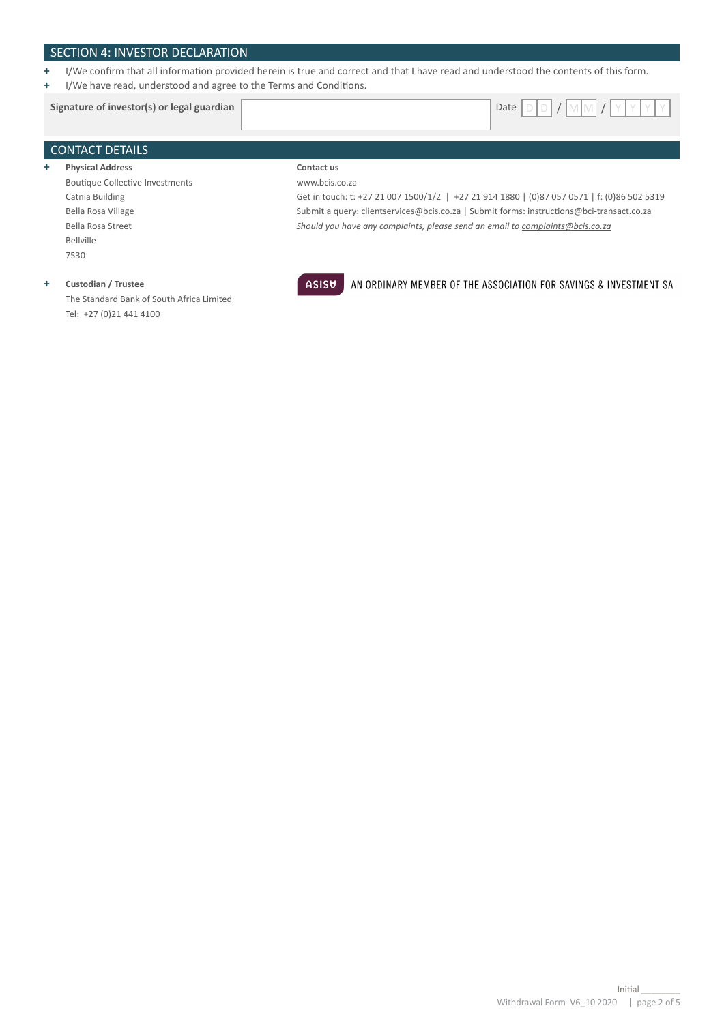## SECTION 4: INVESTOR DECLARATION

- **+** I/We confirm that all information provided herein is true and correct and that I have read and understood the contents of this form.
- **+** I/We have read, understood and agree to the Terms and Conditions.

# CONTACT DETAILS **+ Physical Address Contact us Signature of investor(s) or legal guardian**  $\vert$  **Date D** D ate

Boutique Collective Investments Catnia Building Bella Rosa Village Bella Rosa Street Bellville 7530

## **+ Custodian / Trustee**

The Standard Bank of South Africa Limited Tel: +27 (0)21 441 4100



www.bcis.co.za

# AN ORDINARY MEMBER OF THE ASSOCIATION FOR SAVINGS & INVESTMENT SA

Get in touch: t: +27 21 007 1500/1/2 | +27 21 914 1880 | (0)87 057 0571 | f: (0)86 502 5319 Submit a query: clientservices@bcis.co.za | Submit forms: instructions@bci-transact.co.za

*Should you have any complaints, please send an email to complaints@bcis.co.za*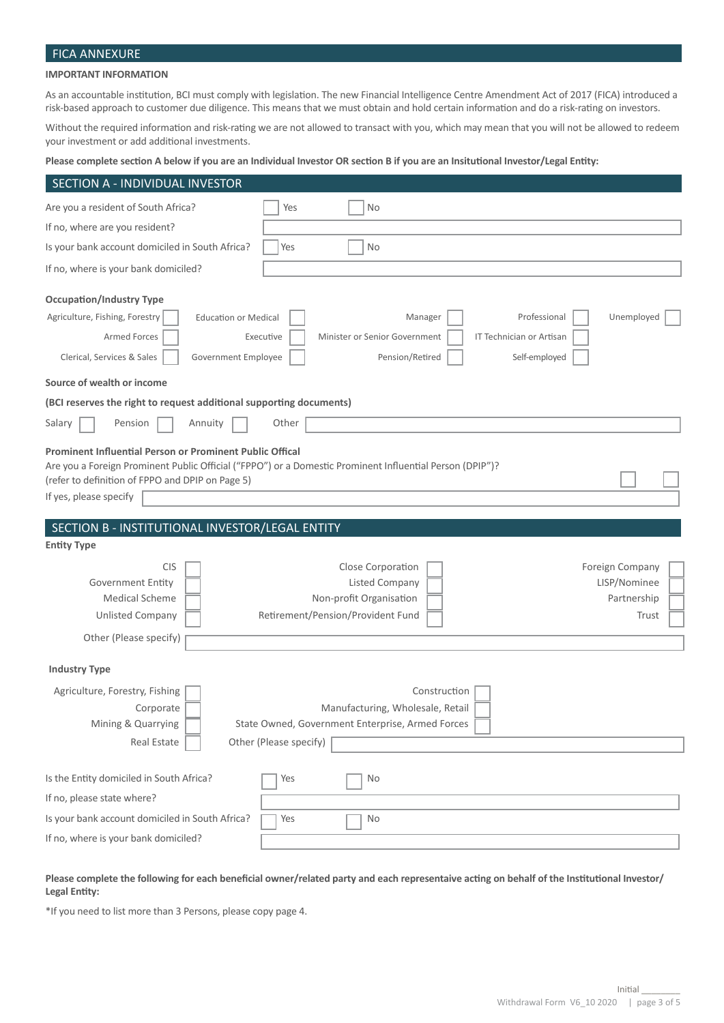# FICA ANNEXURE

## **IMPORTANT INFORMATION**

As an accountable institution, BCI must comply with legislation. The new Financial Intelligence Centre Amendment Act of 2017 (FICA) introduced a risk-based approach to customer due diligence. This means that we must obtain and hold certain information and do a risk-rating on investors.

Without the required information and risk-rating we are not allowed to transact with you, which may mean that you will not be allowed to redeem your investment or add additional investments.

#### **Please complete section A below if you are an Individual Investor OR section B if you are an Insitutional Investor/Legal Entity:**

| SECTION A - INDIVIDUAL INVESTOR                                                                                                        |                                                                                                            |                                                         |
|----------------------------------------------------------------------------------------------------------------------------------------|------------------------------------------------------------------------------------------------------------|---------------------------------------------------------|
| Are you a resident of South Africa?                                                                                                    | No<br>Yes                                                                                                  |                                                         |
| If no, where are you resident?                                                                                                         |                                                                                                            |                                                         |
| Is your bank account domiciled in South Africa?                                                                                        | Yes<br><b>No</b>                                                                                           |                                                         |
| If no, where is your bank domiciled?                                                                                                   |                                                                                                            |                                                         |
| <b>Occupation/Industry Type</b><br>Agriculture, Fishing, Forestry<br><b>Education or Medical</b>                                       | Manager                                                                                                    | Unemployed<br>Professional                              |
| Armed Forces<br>Clerical, Services & Sales<br>Government Employee                                                                      | Executive<br>Minister or Senior Government<br>Pension/Retired                                              | IT Technician or Artisan<br>Self-employed               |
| Source of wealth or income                                                                                                             |                                                                                                            |                                                         |
| (BCI reserves the right to request additional supporting documents)                                                                    |                                                                                                            |                                                         |
| Salary<br>Pension<br>Annuity                                                                                                           | Other                                                                                                      |                                                         |
| Prominent Influential Person or Prominent Public Offical<br>(refer to definition of FPPO and DPIP on Page 5)<br>If yes, please specify | Are you a Foreign Prominent Public Official ("FPPO") or a Domestic Prominent Influential Person (DPIP")?   |                                                         |
|                                                                                                                                        |                                                                                                            |                                                         |
|                                                                                                                                        |                                                                                                            |                                                         |
| SECTION B - INSTITUTIONAL INVESTOR/LEGAL ENTITY<br><b>Entity Type</b>                                                                  |                                                                                                            |                                                         |
| <b>CIS</b><br><b>Government Entity</b><br><b>Medical Scheme</b><br><b>Unlisted Company</b>                                             | Close Corporation<br><b>Listed Company</b><br>Non-profit Organisation<br>Retirement/Pension/Provident Fund | Foreign Company<br>LISP/Nominee<br>Partnership<br>Trust |
| Other (Please specify)                                                                                                                 |                                                                                                            |                                                         |
| <b>Industry Type</b>                                                                                                                   |                                                                                                            |                                                         |
| Agriculture, Forestry, Fishing<br>Corporate<br>Mining & Quarrying                                                                      | Construction<br>Manufacturing, Wholesale, Retail<br>State Owned, Government Enterprise, Armed Forces       |                                                         |
| Real Estate                                                                                                                            | Other (Please specify)                                                                                     |                                                         |
| Is the Entity domiciled in South Africa?<br>If no, please state where?                                                                 | No<br>Yes                                                                                                  |                                                         |
| Is your bank account domiciled in South Africa?                                                                                        | Yes<br>No                                                                                                  |                                                         |

#### **Please complete the following for each beneficial owner/related party and each representaive acting on behalf of the Institutional Investor/ Legal Entity:**

\*If you need to list more than 3 Persons, please copy page 4.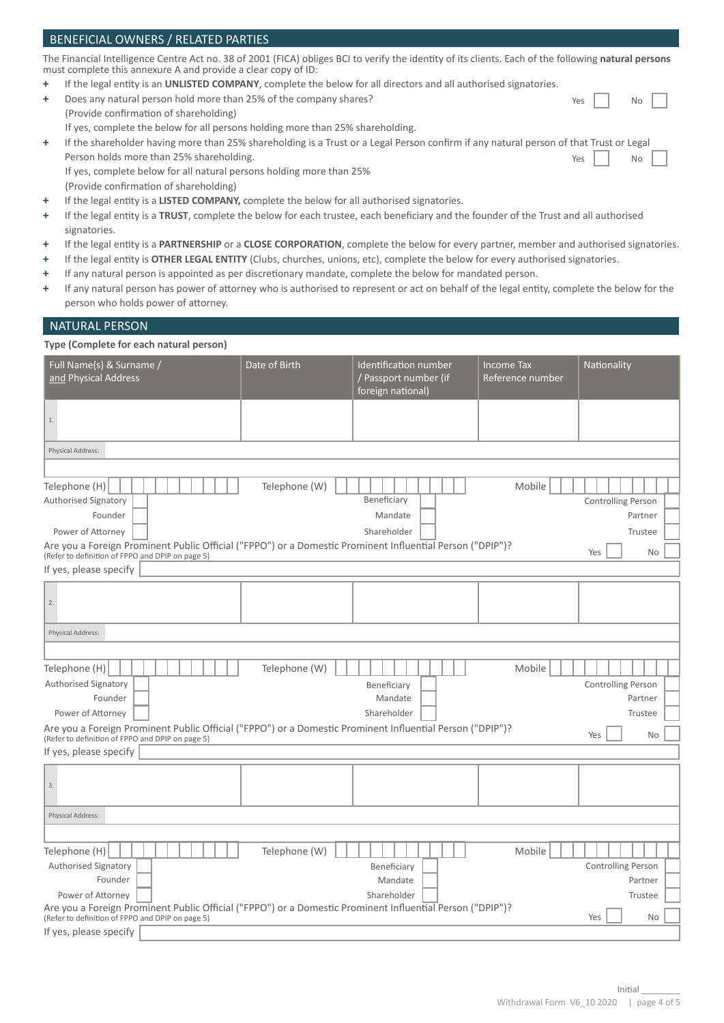#### BENEFICIAL OWNERS / RELATED PARTIES The Financial Intelligence Centre Act no. 38 of 2001 (FICA) obliges BCI to verify the identity of its clients. Each of the following **natural persons**  must complete this annexure A and provide a clear copy of ID: **+** If the legal entity is an **UNLISTED COMPANY**, complete the below for all directors and all authorised signatories. **+** Does any natural person hold more than 25% of the company shares? (Provide confirmation of shareholding) If yes, complete the below for all persons holding more than 25% shareholding. **+** If the shareholder having more than 25% shareholding is a Trust or a Legal Person confirm if any natural person of that Trust or Legal Person holds more than 25% shareholding. Yes | | No Yes | | No

 If yes, complete below for all natural persons holding more than 25% (Provide confirmation of shareholding)

- **+** If the legal entity is a **LISTED COMPANY,** complete the below for all authorised signatories.
- **+** If the legal entity is a **TRUST**, complete the below for each trustee, each beneficiary and the founder of the Trust and all authorised signatories.
- **+** If the legal entity is a **PARTNERSHIP** or a **CLOSE CORPORATION**, complete the below for every partner, member and authorised signatories.
- **+** If the legal entity is **OTHER LEGAL ENTITY** (Clubs, churches, unions, etc), complete the below for every authorised signatories.
- **+** If any natural person is appointed as per discretionary mandate, complete the below for mandated person.
- **+** If any natural person has power of attorney who is authorised to represent or act on behalf of the legal entity, complete the below for the person who holds power of attorney.

#### NATURAL PERSON

## **Type (Complete for each natural person)**

| Full Name(s) & Surname /<br>and Physical Address                                                                                                              | Date of Birth | Identification number<br>/ Passport number (if<br>foreign national) | <b>Income Tax</b><br>Reference number | Nationality               |  |  |
|---------------------------------------------------------------------------------------------------------------------------------------------------------------|---------------|---------------------------------------------------------------------|---------------------------------------|---------------------------|--|--|
| $1.$                                                                                                                                                          |               |                                                                     |                                       |                           |  |  |
| Physical Address:                                                                                                                                             |               |                                                                     |                                       |                           |  |  |
|                                                                                                                                                               |               |                                                                     |                                       |                           |  |  |
| Telephone (H)<br>Authorised Signatory                                                                                                                         | Telephone (W) | Beneficiary                                                         | Mobile                                | Controlling Person        |  |  |
| Founder                                                                                                                                                       |               | Mandate                                                             |                                       | Partner                   |  |  |
| Power of Attorney                                                                                                                                             |               | Shareholder                                                         |                                       | Trustee                   |  |  |
| Are you a Foreign Prominent Public Official ("FPPO") or a Domestic Prominent Influential Person ("DPIP")?<br>(Refer to definition of FPPO and DPIP on page 5) |               |                                                                     |                                       | Yes<br><b>No</b>          |  |  |
| If yes, please specify                                                                                                                                        |               |                                                                     |                                       |                           |  |  |
| 2.                                                                                                                                                            |               |                                                                     |                                       |                           |  |  |
| Physical Address:                                                                                                                                             |               |                                                                     |                                       |                           |  |  |
|                                                                                                                                                               |               |                                                                     |                                       |                           |  |  |
| Telephone (H)                                                                                                                                                 | Telephone (W) |                                                                     | Mobile                                |                           |  |  |
| Authorised Signatory                                                                                                                                          |               | Beneficiary                                                         |                                       | <b>Controlling Person</b> |  |  |
| Founder                                                                                                                                                       |               | Mandate                                                             |                                       | Partner                   |  |  |
| Power of Attorney                                                                                                                                             |               | Shareholder                                                         |                                       | Trustee                   |  |  |
| Are you a Foreign Prominent Public Official ("FPPO") or a Domestic Prominent Influential Person ("DPIP")?<br>(Refer to definition of FPPO and DPIP on page 5) |               |                                                                     |                                       | Yes<br><b>No</b>          |  |  |
| If yes, please specify                                                                                                                                        |               |                                                                     |                                       |                           |  |  |
| 3.                                                                                                                                                            |               |                                                                     |                                       |                           |  |  |
| Physical Address:                                                                                                                                             |               |                                                                     |                                       |                           |  |  |
|                                                                                                                                                               |               |                                                                     |                                       |                           |  |  |
| Telephone (H)                                                                                                                                                 | Telephone (W) |                                                                     | Mobile                                |                           |  |  |
| Authorised Signatory                                                                                                                                          |               | Beneficiary                                                         |                                       | <b>Controlling Person</b> |  |  |
| Founder                                                                                                                                                       |               | Mandate<br>Shareholder                                              |                                       | Partner                   |  |  |
| Power of Attorney<br>Are you a Foreign Prominent Public Official ("FPPO") or a Domestic Prominent Influential Person ("DPIP")?                                |               |                                                                     |                                       | Trustee                   |  |  |
| (Refer to definition of FPPO and DPIP on page 5)                                                                                                              |               |                                                                     |                                       | Yes<br><b>No</b>          |  |  |
| If yes, please specify                                                                                                                                        |               |                                                                     |                                       |                           |  |  |